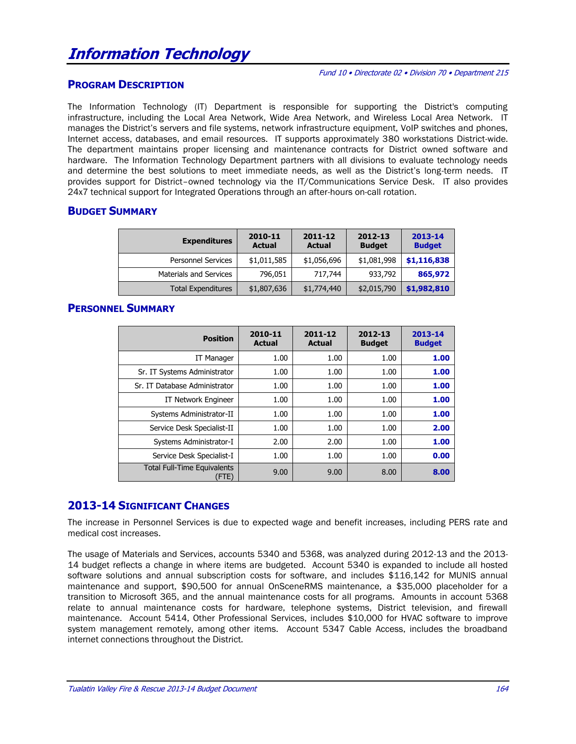## **PROGRAM DESCRIPTION**

The Information Technology (IT) Department is responsible for supporting the District's computing infrastructure, including the Local Area Network, Wide Area Network, and Wireless Local Area Network. IT manages the District's servers and file systems, network infrastructure equipment, VoIP switches and phones, Internet access, databases, and email resources. IT supports approximately 380 workstations District-wide. The department maintains proper licensing and maintenance contracts for District owned software and hardware. The Information Technology Department partners with all divisions to evaluate technology needs and determine the best solutions to meet immediate needs, as well as the District's long-term needs. IT provides support for District–owned technology via the IT/Communications Service Desk. IT also provides 24x7 technical support for Integrated Operations through an after-hours on-call rotation.

## **BUDGET SUMMARY**

| <b>Expenditures</b>           | 2010-11<br><b>Actual</b> | 2011-12<br><b>Actual</b> | 2012-13<br><b>Budget</b> | 2013-14<br><b>Budget</b> |
|-------------------------------|--------------------------|--------------------------|--------------------------|--------------------------|
| <b>Personnel Services</b>     | \$1,011,585              | \$1,056,696              | \$1,081,998              | \$1,116,838              |
| <b>Materials and Services</b> | 796,051                  | 717.744                  | 933,792                  | 865,972                  |
| <b>Total Expenditures</b>     | \$1,807,636              | \$1,774,440              | \$2,015,790              | \$1,982,810              |

## **PERSONNEL SUMMARY**

| <b>Position</b>                             | 2010-11<br><b>Actual</b> | 2011-12<br><b>Actual</b> | 2012-13<br><b>Budget</b> | 2013-14<br><b>Budget</b> |
|---------------------------------------------|--------------------------|--------------------------|--------------------------|--------------------------|
| <b>IT Manager</b>                           | 1.00                     | 1.00                     | 1.00                     | 1.00                     |
| Sr. IT Systems Administrator                | 1.00                     | 1.00                     | 1.00                     | 1.00                     |
| Sr. IT Database Administrator               | 1.00                     | 1.00                     | 1.00                     | 1.00                     |
| IT Network Engineer                         | 1.00                     | 1.00                     | 1.00                     | 1.00                     |
| Systems Administrator-II                    | 1.00                     | 1.00                     | 1.00                     | 1.00                     |
| Service Desk Specialist-II                  | 1.00                     | 1.00                     | 1.00                     | 2.00                     |
| Systems Administrator-I                     | 2.00                     | 2.00                     | 1.00                     | 1.00                     |
| Service Desk Specialist-I                   | 1.00                     | 1.00                     | 1.00                     | 0.00                     |
| <b>Total Full-Time Equivalents</b><br>(FTE) | 9.00                     | 9.00                     | 8.00                     | 8.00                     |

## **2013-14 SIGNIFICANT CHANGES**

The increase in Personnel Services is due to expected wage and benefit increases, including PERS rate and medical cost increases.

The usage of Materials and Services, accounts 5340 and 5368, was analyzed during 2012-13 and the 2013- 14 budget reflects a change in where items are budgeted. Account 5340 is expanded to include all hosted software solutions and annual subscription costs for software, and includes \$116,142 for MUNIS annual maintenance and support, \$90,500 for annual OnSceneRMS maintenance, a \$35,000 placeholder for a transition to Microsoft 365, and the annual maintenance costs for all programs. Amounts in account 5368 relate to annual maintenance costs for hardware, telephone systems, District television, and firewall maintenance. Account 5414, Other Professional Services, includes \$10,000 for HVAC software to improve system management remotely, among other items. Account 5347 Cable Access, includes the broadband internet connections throughout the District.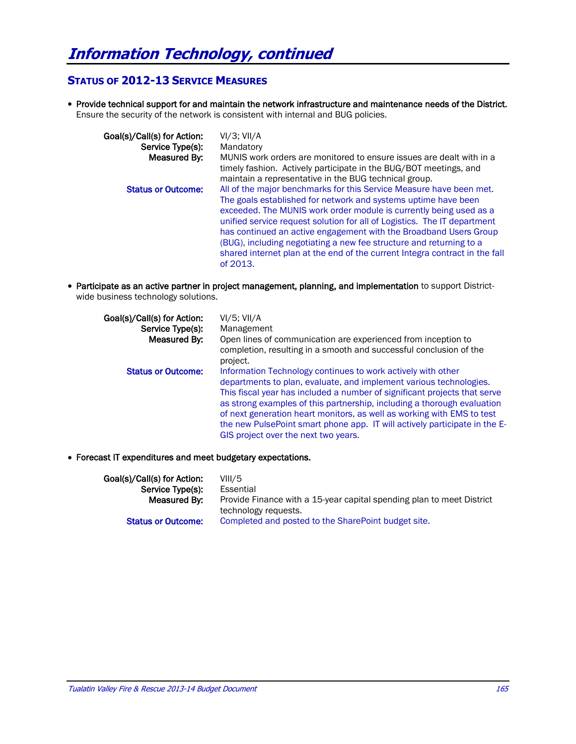## **STATUS OF 2012-13 SERVICE MEASURES**

 Provide technical support for and maintain the network infrastructure and maintenance needs of the District. Ensure the security of the network is consistent with internal and BUG policies.

| Goal(s)/Call(s) for Action:<br>Service Type(s): | $VI/3$ ; $VII/A$<br>Mandatory                                                                                                                                                                                                                                                                                                                                                                                                                                                                                                  |
|-------------------------------------------------|--------------------------------------------------------------------------------------------------------------------------------------------------------------------------------------------------------------------------------------------------------------------------------------------------------------------------------------------------------------------------------------------------------------------------------------------------------------------------------------------------------------------------------|
| Measured By:                                    | MUNIS work orders are monitored to ensure issues are dealt with in a<br>timely fashion. Actively participate in the BUG/BOT meetings, and<br>maintain a representative in the BUG technical group.                                                                                                                                                                                                                                                                                                                             |
| <b>Status or Outcome:</b>                       | All of the major benchmarks for this Service Measure have been met.<br>The goals established for network and systems uptime have been<br>exceeded. The MUNIS work order module is currently being used as a<br>unified service request solution for all of Logistics. The IT department<br>has continued an active engagement with the Broadband Users Group<br>(BUG), including negotiating a new fee structure and returning to a<br>shared internet plan at the end of the current Integra contract in the fall<br>of 2013. |

 Participate as an active partner in project management, planning, and implementation to support Districtwide business technology solutions.

| Goal(s)/Call(s) for Action:<br>Service Type(s):<br>Measured By: | $VI/5$ ; $VII/A$<br>Management<br>Open lines of communication are experienced from inception to<br>completion, resulting in a smooth and successful conclusion of the<br>project.                                                                                                                                                                                                                                                                                                          |
|-----------------------------------------------------------------|--------------------------------------------------------------------------------------------------------------------------------------------------------------------------------------------------------------------------------------------------------------------------------------------------------------------------------------------------------------------------------------------------------------------------------------------------------------------------------------------|
| <b>Status or Outcome:</b>                                       | Information Technology continues to work actively with other<br>departments to plan, evaluate, and implement various technologies.<br>This fiscal year has included a number of significant projects that serve<br>as strong examples of this partnership, including a thorough evaluation<br>of next generation heart monitors, as well as working with EMS to test<br>the new PulsePoint smart phone app. IT will actively participate in the E-<br>GIS project over the next two years. |

Forecast IT expenditures and meet budgetary expectations.

| Goal(s)/Call(s) for Action: | VIII/5                                                                |
|-----------------------------|-----------------------------------------------------------------------|
| Service Type(s):            | Essential                                                             |
| Measured By:                | Provide Finance with a 15-year capital spending plan to meet District |
|                             | technology requests.                                                  |
| <b>Status or Outcome:</b>   | Completed and posted to the SharePoint budget site.                   |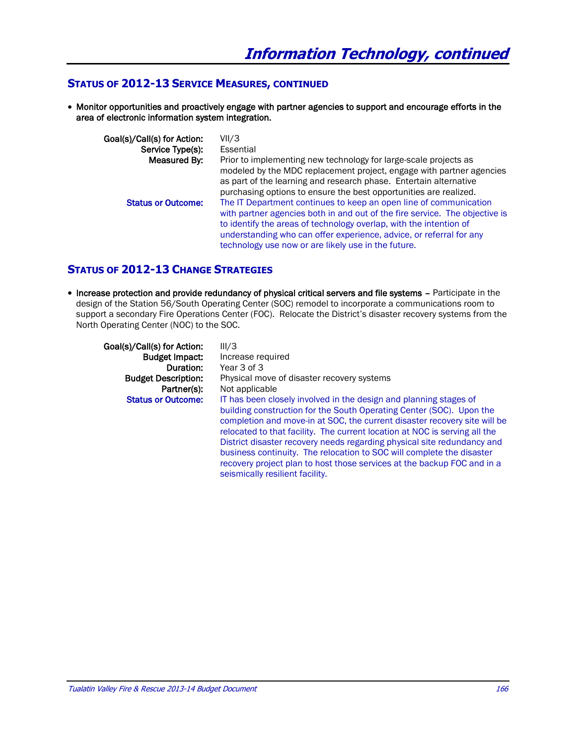## **STATUS OF 2012-13 SERVICE MEASURES, CONTINUED**

 Monitor opportunities and proactively engage with partner agencies to support and encourage efforts in the area of electronic information system integration.

| Goal(s)/Call(s) for Action:<br>Service Type(s): | VII/3<br>Essential                                                                                                                                                                                                                                                                            |
|-------------------------------------------------|-----------------------------------------------------------------------------------------------------------------------------------------------------------------------------------------------------------------------------------------------------------------------------------------------|
| Measured By:                                    | Prior to implementing new technology for large-scale projects as<br>modeled by the MDC replacement project, engage with partner agencies                                                                                                                                                      |
|                                                 | as part of the learning and research phase. Entertain alternative<br>purchasing options to ensure the best opportunities are realized.                                                                                                                                                        |
| <b>Status or Outcome:</b>                       | The IT Department continues to keep an open line of communication<br>with partner agencies both in and out of the fire service. The objective is<br>to identify the areas of technology overlap, with the intention of<br>understanding who can offer experience, advice, or referral for any |
|                                                 | technology use now or are likely use in the future.                                                                                                                                                                                                                                           |

## **STATUS OF 2012-13 CHANGE STRATEGIES**

• Increase protection and provide redundancy of physical critical servers and file systems - Participate in the design of the Station 56/South Operating Center (SOC) remodel to incorporate a communications room to support a secondary Fire Operations Center (FOC). Relocate the District's disaster recovery systems from the North Operating Center (NOC) to the SOC.

| Goal(s)/Call(s) for Action:<br><b>Budget Impact:</b><br>Duration:<br><b>Budget Description:</b><br>Partner(s):<br><b>Status or Outcome:</b> | III/3<br>Increase required<br>Year 3 of 3<br>Physical move of disaster recovery systems<br>Not applicable<br>IT has been closely involved in the design and planning stages of<br>building construction for the South Operating Center (SOC). Upon the<br>completion and move-in at SOC, the current disaster recovery site will be          |
|---------------------------------------------------------------------------------------------------------------------------------------------|----------------------------------------------------------------------------------------------------------------------------------------------------------------------------------------------------------------------------------------------------------------------------------------------------------------------------------------------|
|                                                                                                                                             | relocated to that facility. The current location at NOC is serving all the<br>District disaster recovery needs regarding physical site redundancy and<br>business continuity. The relocation to SOC will complete the disaster<br>recovery project plan to host those services at the backup FOC and in a<br>seismically resilient facility. |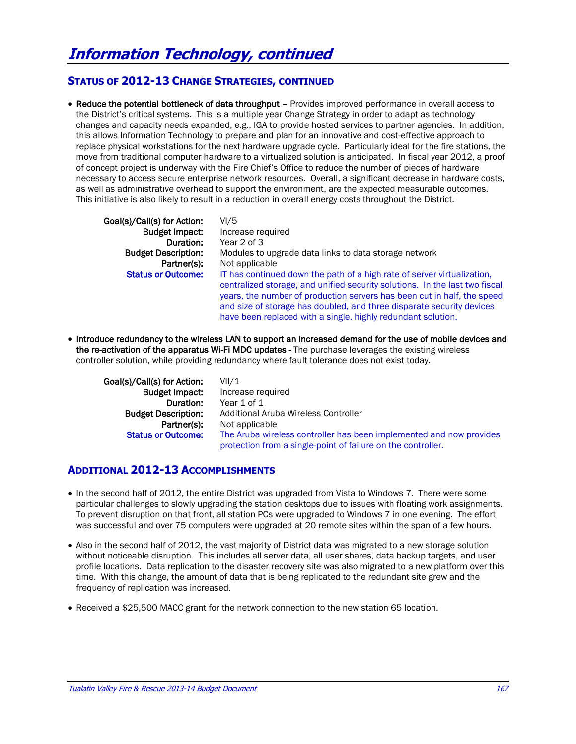## **STATUS OF 2012-13 CHANGE STRATEGIES, CONTINUED**

• Reduce the potential bottleneck of data throughput – Provides improved performance in overall access to the District's critical systems. This is a multiple year Change Strategy in order to adapt as technology changes and capacity needs expanded, e.g., IGA to provide hosted services to partner agencies. In addition, this allows Information Technology to prepare and plan for an innovative and cost-effective approach to replace physical workstations for the next hardware upgrade cycle. Particularly ideal for the fire stations, the move from traditional computer hardware to a virtualized solution is anticipated. In fiscal year 2012, a proof of concept project is underway with the Fire Chief's Office to reduce the number of pieces of hardware necessary to access secure enterprise network resources. Overall, a significant decrease in hardware costs, as well as administrative overhead to support the environment, are the expected measurable outcomes. This initiative is also likely to result in a reduction in overall energy costs throughout the District.

Goal(s)/Call(s) for Action: VI/5

Budget Impact: Increase required Duration: Year 2 of 3 Budget Description: Modules to upgrade data links to data storage network Partner(s): Not applicable Status or Outcome: IT has continued down the path of a high rate of server virtualization, centralized storage, and unified security solutions. In the last two fiscal years, the number of production servers has been cut in half, the speed and size of storage has doubled, and three disparate security devices have been replaced with a single, highly redundant solution.

 Introduce redundancy to the wireless LAN to support an increased demand for the use of mobile devices and the re-activation of the apparatus Wi-Fi MDC updates - The purchase leverages the existing wireless controller solution, while providing redundancy where fault tolerance does not exist today.

| Goal(s)/Call(s) for Action: | VII/1                                                                                                                               |
|-----------------------------|-------------------------------------------------------------------------------------------------------------------------------------|
| <b>Budget Impact:</b>       | Increase required                                                                                                                   |
| Duration:                   | Year 1 of 1                                                                                                                         |
| <b>Budget Description:</b>  | Additional Aruba Wireless Controller                                                                                                |
| Partner(s):                 | Not applicable                                                                                                                      |
| <b>Status or Outcome:</b>   | The Aruba wireless controller has been implemented and now provides<br>protection from a single-point of failure on the controller. |

## **ADDITIONAL 2012-13 ACCOMPLISHMENTS**

- In the second half of 2012, the entire District was upgraded from Vista to Windows 7. There were some particular challenges to slowly upgrading the station desktops due to issues with floating work assignments. To prevent disruption on that front, all station PCs were upgraded to Windows 7 in one evening. The effort was successful and over 75 computers were upgraded at 20 remote sites within the span of a few hours.
- Also in the second half of 2012, the vast majority of District data was migrated to a new storage solution without noticeable disruption. This includes all server data, all user shares, data backup targets, and user profile locations. Data replication to the disaster recovery site was also migrated to a new platform over this time. With this change, the amount of data that is being replicated to the redundant site grew and the frequency of replication was increased.
- Received a \$25,500 MACC grant for the network connection to the new station 65 location.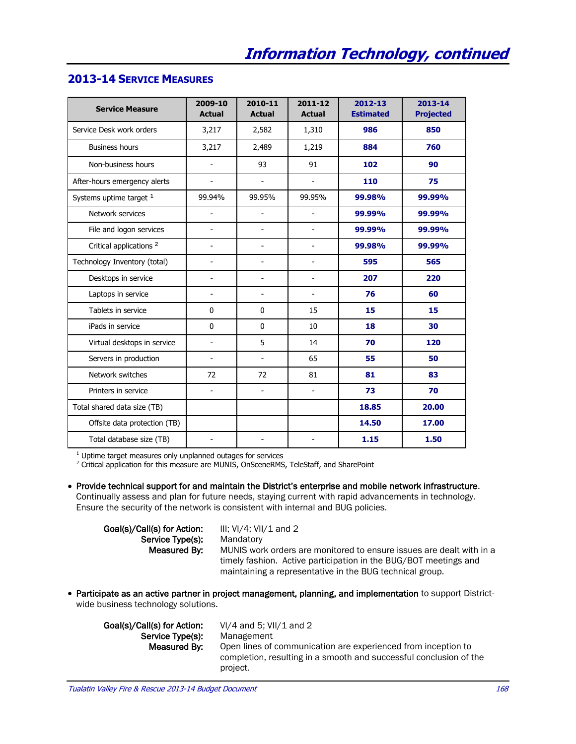# **2013-14 SERVICE MEASURES**

| <b>Service Measure</b>             | 2009-10<br><b>Actual</b> | 2010-11<br><b>Actual</b> | 2011-12<br><b>Actual</b> | 2012-13<br><b>Estimated</b> | 2013-14<br><b>Projected</b> |
|------------------------------------|--------------------------|--------------------------|--------------------------|-----------------------------|-----------------------------|
| Service Desk work orders           | 3,217                    | 2,582                    | 1,310                    | 986                         | 850                         |
| <b>Business hours</b>              | 3,217                    | 2,489                    | 1,219                    | 884                         | 760                         |
| Non-business hours                 | ÷,                       | 93                       | 91                       | 102                         | 90                          |
| After-hours emergency alerts       | $\overline{a}$           | $\overline{\phantom{a}}$ | $\overline{\phantom{a}}$ | 110                         | 75                          |
| Systems uptime target 1            | 99.94%                   | 99.95%                   | 99.95%                   | 99.98%                      | 99.99%                      |
| Network services                   | $\overline{\phantom{a}}$ | $\overline{\phantom{a}}$ | $\overline{\phantom{a}}$ | 99.99%                      | 99.99%                      |
| File and logon services            | $\overline{\phantom{a}}$ | $\overline{\phantom{a}}$ | $\overline{\phantom{a}}$ | 99.99%                      | 99.99%                      |
| Critical applications <sup>2</sup> | $\overline{a}$           | $\overline{a}$           | $\overline{a}$           | 99.98%                      | 99.99%                      |
| Technology Inventory (total)       | $\overline{a}$           | $\blacksquare$           | $\blacksquare$           | 595                         | 565                         |
| Desktops in service                | $\blacksquare$           | $\overline{\phantom{a}}$ | $\blacksquare$           | 207                         | 220                         |
| Laptops in service                 | $\overline{a}$           | $\overline{\phantom{a}}$ | $\blacksquare$           | 76                          | 60                          |
| Tablets in service                 | 0                        | $\mathbf 0$              | 15                       | 15                          | 15                          |
| iPads in service                   | 0                        | $\mathbf 0$              | 10                       | 18                          | 30                          |
| Virtual desktops in service        | $\overline{a}$           | 5                        | 14                       | 70                          | 120                         |
| Servers in production              | $\blacksquare$           | $\blacksquare$           | 65                       | 55                          | 50                          |
| Network switches                   | 72                       | 72                       | 81                       | 81                          | 83                          |
| Printers in service                | $\blacksquare$           | $\blacksquare$           | $\mathbf{r}$             | 73                          | 70                          |
| Total shared data size (TB)        |                          |                          |                          | 18.85                       | 20.00                       |
| Offsite data protection (TB)       |                          |                          |                          | 14.50                       | 17.00                       |
| Total database size (TB)           | $\overline{a}$           | $\sim$                   |                          | 1.15                        | 1.50                        |

 $1$  Uptime target measures only unplanned outages for services

<sup>2</sup> Critical application for this measure are MUNIS, OnSceneRMS, TeleStaff, and SharePoint

 Provide technical support for and maintain the District's enterprise and mobile network infrastructure. Continually assess and plan for future needs, staying current with rapid advancements in technology. Ensure the security of the network is consistent with internal and BUG policies.

Goal(s)/Call(s) for Action: III; VI/4; VII/1 and 2 Service Type(s): Mandatory

Measured By: MUNIS work orders are monitored to ensure issues are dealt with in a timely fashion. Active participation in the BUG/BOT meetings and maintaining a representative in the BUG technical group.

 Participate as an active partner in project management, planning, and implementation to support Districtwide business technology solutions.

Service Type(s): Management

Goal(s)/Call(s) for Action: VI/4 and 5; VII/1 and 2 Measured By: Open lines of communication are experienced from inception to completion, resulting in a smooth and successful conclusion of the project.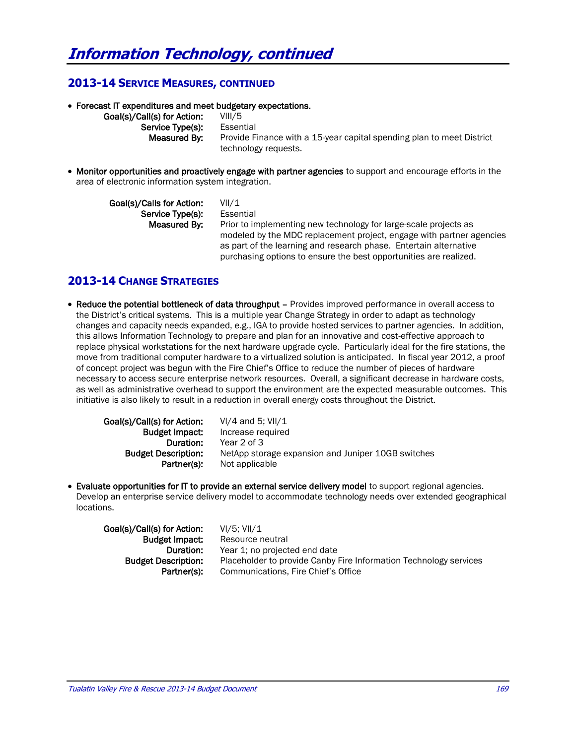## **2013-14 SERVICE MEASURES, CONTINUED**

Forecast IT expenditures and meet budgetary expectations.

Goal(s)/Call(s) for Action: VIII/5 Service Type(s): Essential

**Measured By:** Provide Finance with a 15-year capital spending plan to meet District technology requests.

• Monitor opportunities and proactively engage with partner agencies to support and encourage efforts in the area of electronic information system integration.

| Goal(s)/Calls for Action: | VII/1                                                                |
|---------------------------|----------------------------------------------------------------------|
| Service Type(s):          | Essential                                                            |
| Measured By:              | Prior to implementing new technology for large-scale projects as     |
|                           | modeled by the MDC replacement project, engage with partner agencies |
|                           | as part of the learning and research phase. Entertain alternative    |
|                           | purchasing options to ensure the best opportunities are realized.    |

## **2013-14 CHANGE STRATEGIES**

 Reduce the potential bottleneck of data throughput – Provides improved performance in overall access to the District's critical systems. This is a multiple year Change Strategy in order to adapt as technology changes and capacity needs expanded, e.g., IGA to provide hosted services to partner agencies. In addition, this allows Information Technology to prepare and plan for an innovative and cost-effective approach to replace physical workstations for the next hardware upgrade cycle. Particularly ideal for the fire stations, the move from traditional computer hardware to a virtualized solution is anticipated. In fiscal year 2012, a proof of concept project was begun with the Fire Chief's Office to reduce the number of pieces of hardware necessary to access secure enterprise network resources. Overall, a significant decrease in hardware costs, as well as administrative overhead to support the environment are the expected measurable outcomes. This initiative is also likely to result in a reduction in overall energy costs throughout the District.

| Goal(s)/Call(s) for Action: | $VI/4$ and 5; $VII/1$                              |
|-----------------------------|----------------------------------------------------|
| <b>Budget Impact:</b>       | Increase required                                  |
| Duration:                   | Year 2 of 3                                        |
| <b>Budget Description:</b>  | NetApp storage expansion and Juniper 10GB switches |
| Partner(s):                 | Not applicable                                     |

 Evaluate opportunities for IT to provide an external service delivery model to support regional agencies. Develop an enterprise service delivery model to accommodate technology needs over extended geographical locations.

| Goal(s)/Call(s) for Action: | VI/5: VII/1                                                       |
|-----------------------------|-------------------------------------------------------------------|
| <b>Budget Impact:</b>       | Resource neutral                                                  |
| Duration:                   | Year 1; no projected end date                                     |
| <b>Budget Description:</b>  | Placeholder to provide Canby Fire Information Technology services |
| Partner(s):                 | Communications, Fire Chief's Office                               |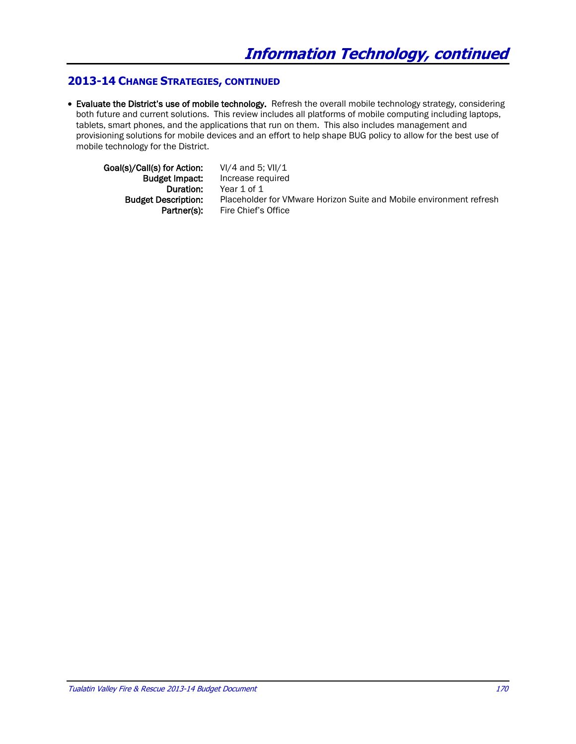## **2013-14 CHANGE STRATEGIES, CONTINUED**

 Evaluate the District's use of mobile technology. Refresh the overall mobile technology strategy, considering both future and current solutions. This review includes all platforms of mobile computing including laptops, tablets, smart phones, and the applications that run on them. This also includes management and provisioning solutions for mobile devices and an effort to help shape BUG policy to allow for the best use of mobile technology for the District.

Goal(s)/Call(s) for Action: VI/4 and 5; VII/1

Budget Impact: Increase required Duration: Year 1 of 1 Budget Description: Placeholder for VMware Horizon Suite and Mobile environment refresh Partner(s): Fire Chief's Office